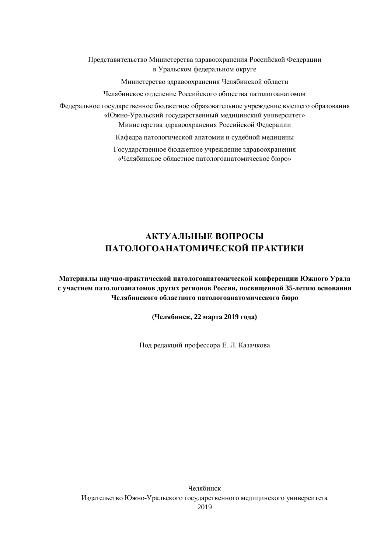Представительство Министерства здравоохранения Российской Федерации **в** Уральском федеральном округе

Министерство здравоохранения Челябинской области

Челябинское отделение Российского общества патологоанатомов

Федеральное государственное бюджетное образовательное учреждение высшего образования «Южно-Уральский государственный медицинский университет» Министерства здравоохранения Российской Федерации

Кафедра патологической анатомии и судебной медицины

Государственное бюджетное учреждение здравоохранения «Челябинское областное патологоанатомическое бюро»

# **ȺɄɌɍȺɅɖɇɕȿȼɈɉɊɈɋɕ**  ПАТОЛОГОАНАТОМИЧЕСКОЙ ПРАКТИКИ

Материалы научно-практической патологоанатомической конференции Южного Урала с участием патологоанатомов других регионов России, посвященной 35-летию основания Челябинского областного патологоанатомического бюро

 $($ Челябинск, 22 марта 2019 года)

Под редакций профессора Е. Л. Казачкова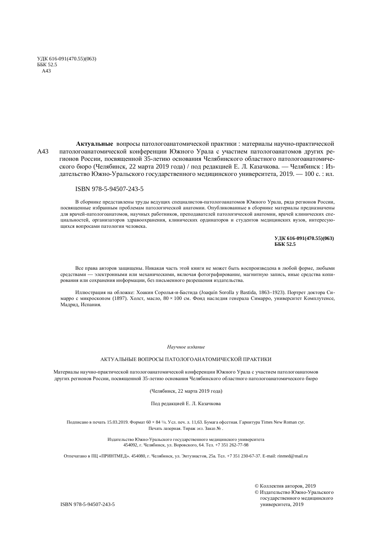ɍȾɄ 616-091(470.55)(063) ȻȻɄ 52.5 A43

**Актуальные** вопросы патологоанатомической практики: материалы научно-практической А43 патологоанатомической конференции Южного Урала с участием патологоанатомов других регионов России, посвященной 35-летию основания Челябинского областного патологоанатомического бюро (Челябинск, 22 марта 2019 года) / под редакцией Е. Л. Казачкова. — Челябинск: Издательство Южно-Уральского государственного медицинского университета, 2019. — 100 с. : ил.

#### ISBN 978-5-94507-243-5

В сборнике представлены труды ведущих специалистов-патологоанатомов Южного Урала, ряда регионов России, посвященные избранным проблемам патологической анатомии. Опубликованные в сборнике материалы предназначены для врачей-патологоанатомов, научных работников, преподавателей патологической анатомии, врачей клинических специальностей, организаторов здравоохранения, клинических ординаторов и студентов медицинских вузов, интересующихся вопросами патологии человека.

> **ɍȾɄ 616-091(470.55)(063) ȻȻɄ 52.5**

Все права авторов защищены. Никакая часть этой книги не может быть воспроизведена в любой форме, любыми средствами — электронными или механическими, включая фотографирование, магнитную запись, иные средства копирования или сохранения информации, без письменного разрешения издательства.

Иллюстрация на обложке: Хоакин Соролья-и-Бастида (Joaquín Sorolla y Bastida, 1863–1923). Портрет доктора Симарро с микроскопом (1897). Холст, масло,  $80 \times 100$  см. Фонд наследия генерала Симарро, университет Комплутенсе, Мадрид, Испания.

#### Научное издание

#### АКТУАЛЬНЫЕ ВОПРОСЫ ПАТОЛОГОАНАТОМИЧЕСКОЙ ПРАКТИКИ

Материалы научно-практической патологоанатомической конференции Южного Урала с участием патологоанатомов других регионов России, посвященной 35-летию основания Челябинского областного патологоанатомического бюро

(Челябинск, 22 марта 2019 года)

Под редакцией Е. Л. Казачкова

Подписано в печать 15.03.2019. Формат 60  $\times$  84  $1/s$ . Усл. печ. л. 11,63. Бумага офсетная. Гарнитура Times New Roman cyr. Печать лазерная. Тираж экз. Заказ № .

> Издательство Южно-Уральского государственного медицинского университета 454092, г. Челябинск, ул. Воровского, 64. Тел. +7 351 262-77-98

Отпечатано в ПЦ «ПРИНТМЕД». 454080, г. Челябинск, ул. Энтузиастов, 25а. Тел. +7 351 230-67-37. E-mail: rinmed@mail.ru

© Коппектив авторов, 2019 © Издательство Южно-Уральского государственного медицинского университета, 2019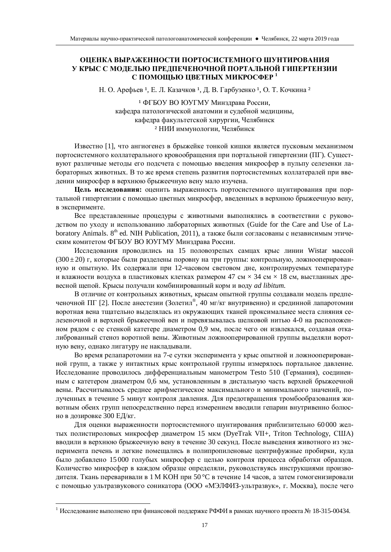### ОЦЕНКА ВЫРАЖЕННОСТИ ПОРТОСИСТЕМНОГО ШУНТИРОВАНИЯ У КРЫС С МОДЕЛЬЮ ПРЕДПЕЧЕНОЧНОЙ ПОРТАЛЬНОЙ ГИПЕРТЕНЗИИ С ПОМОШЬЮ ШВЕТНЫХ МИКРОСФЕР<sup>1</sup>

Н. О. Арефьев<sup>1</sup>, Е. Л. Казачков<sup>1</sup>, Д. В. Гарбузенко<sup>1</sup>, О. Т. Кочкина<sup>2</sup>

1 ФГБОУ ВО ЮУГМУ Минздрава России, кафедра патологической анатомии и судебной медицины, кафедра факультетской хирургии, Челябинск <sup>2</sup> НИИ иммунологии, Челябинск

Известно [1], что ангиогенез в брыжейке тонкой кишки является пусковым механизмом портосистемного коллатерального кровообращения при портальной гипертензии (ПГ). Существуют различные метолы его полсчета с помошью ввеления микросфер в пульпу селезенки лабораторных животных. В то же время степень развития портосистемных коллатералей при введении микросфер в верхнюю брыжеечную вену мало изучена.

Цель исследования: оценить выраженность портосистемного шунтирования при портальной гипертензии с помощью цветных микросфер, введенных в верхнюю брыжеечную вену, в эксперименте.

Все представленные процедуры с животными выполнялись в соответствии с руководством по уходу и использованию лабораторных животных (Guide for the Care and Use of Laboratory Animals. 8<sup>th</sup> ed. NIH Publication, 2011), а также были согласованы с независимым этическим комитетом ФГБОУ ВО ЮУГМУ Минздрава России.

Исследования проводились на 15 половозрелых самцах крыс линии Wistar массой  $(300 \pm 20)$  г, которые были разделены поровну на три группы: контрольную, ложнооперированную и опытную. Их содержали при 12-часовом световом дне, контролируемых температуре и влажности воздуха в пластиковых клетках размером 47 см  $\times$  34 см  $\times$  18 см, выстланных древесной шепой. Крысы получали комбинированный корм и волу *ad libitum*.

В отличие от контрольных животных, крысам опытной группы создавали модель предпеченочной ПГ [2]. После анестезии (Золетил<sup>®</sup>, 40 мг/кг внутривенно) и срединной лапаротомии воротная вена тщательно выделялась из окружающих тканей проксимальнее места слияния селезеночной и верхней брыжеечной вен и перевязывалась шелковой нитью 4-0 на расположенном рядом с ее стенкой катетере диаметром 0,9 мм, после чего он извлекался, создавая откалиброванный стеноз воротной вены. Животным ложнооперированной группы выделяли воротную вену, однако лигатуру не накладывали.

Во время релапаротомии на 7-е сутки эксперимента у крыс опытной и ложнооперированной групп, а также у интактных крыс контрольной группы измерялось портальное давление. Исследование проводилось дифференциальным манометром Testo 510 (Германия), соединенным с катетером диаметром 0,6 мм, установленным в дистальную часть верхней брыжеечной вены. Рассчитывалось среднее арифметическое максимального и минимального значений, полученных в течение 5 минут контроля давления. Для предотвращения тромбообразования животным обеих групп непосредственно перед измерением вводили гепарин внутривенно болюсно в дозировке 300 ЕД/кг.

Для оценки выраженности портосистемного шунтирования приблизительно 60 000 желтых полистироловых микросфер диаметром 15 мкм (DyeTrak VII+, Triton Technology, CIIIA) вводили в верхнюю брыжеечную вену в течение 30 секунд. После выведения животного из эксперимента печень и легкие помещались в полипропиленовые центрифужные пробирки, куда было добавлено 15 000 голубых микросфер с целью контроля процесса обработки образцов. Количество микросфер в каждом образце определяли, руководствуясь инструкциями производителя. Ткань переваривали в 1 М КОН при 50 °С в течение 14 часов, а затем гомогенизировали с помощью ультразвукового соникатора (ООО «МЭЛФИЗ-ультразвук», г. Москва), после чего

l

<sup>&</sup>lt;sup>1</sup> Исследование выполнено при финансовой поддержке РФФИ в рамках научного проекта № 18-315-00434.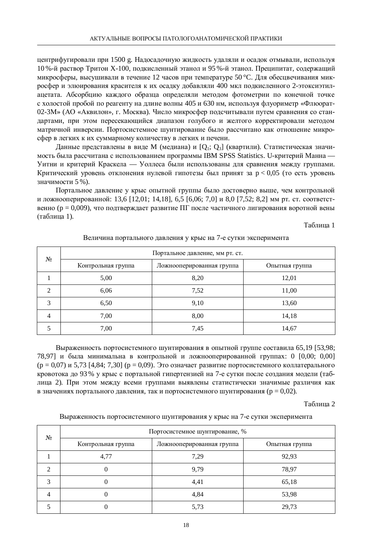центрифугировали при 1500 g. Надосадочную жидкость удаляли и осадок отмывали, используя 10 %-й раствор Тритон X-100, подкисленный этанол и 95 %-й этанол. Преципитат, содержащий микросферы, высушивали в течение 12 часов при температуре 50 °С. Для обесцвечивания микросфер и элюирования красителя к их осадку добавляли 400 мкл подкисленного 2-этоксиэтилацетата. Абсорбцию каждого образца определяли методом фотометрии по конечной точке с холостой пробой по реагенту на длине волны 405 и 630 нм, используя флуориметр «Флюорат-02-3М» (АО «Аквилон», г. Москва). Число микросфер подсчитывали путем сравнения со стандартами, при этом пересекающийся диапазон голубого и желтого корректировали методом матричной инверсии. Портосистемное шунтирование было рассчитано как отношение микросфер в легких к их суммарному количеству в легких и печени.

Данные представлены в виде М (медиана) и [O<sub>1</sub>; O<sub>3</sub>] (квартили). Статистическая значимость была рассчитана с использованием программы IBM SPSS Statistics. U-критерий Манна — Уитни и критерий Краскела — Уоллеса были использованы для сравнения между группами. Критический уровень отклонения нулевой гипотезы был принят за  $p < 0.05$  (то есть уровень значимости 5 %).

Портальное давление у крыс опытной группы было достоверно выше, чем контрольной и ложнооперированной: 13,6 [12,01; 14,18], 6,5 [6,06; 7,0] и 8,0 [7,52; 8,2] мм рт. ст. соответственно (р = 0,009), что подтверждает развитие ПГ после частичного лигирования воротной вены (таблица 1).

Таблица 1

| $N_2$      | Портальное давление, мм рт. ст. |                           |                |  |
|------------|---------------------------------|---------------------------|----------------|--|
|            | Контрольная группа              | Ложнооперированная группа | Опытная группа |  |
|            | 5,00                            | 8,20                      | 12,01          |  |
| $\bigcirc$ | 6,06                            | 7,52                      | 11,00          |  |
| 3          | 6,50                            | 9,10                      | 13,60          |  |
| 4          | 7,00                            | 8,00                      | 14,18          |  |
|            | 7,00                            | 7,45                      | 14,67          |  |

### Величина портального давления у крыс на 7-е сутки эксперимента

Выраженность портосистемного шунтирования в опытной группе составила 65,19 [53,98; 78,97] и была минимальна в контрольной и ложнооперированной группах: 0 [0,00; 0,00]  $(p = 0.07)$  и 5,73 [4,84; 7,30]  $(p = 0.09)$ . Это означает развитие портосистемного коллатерального кровотока до 93 % у крыс с портальной гипертензией на 7-е сутки после создания модели (таблица 2). При этом между всеми группами выявлены статистически значимые различия как в значениях портального давления, так и портосистемного шунтирования (р = 0,02).

Таблица 2

Выраженность портосистемного шунтирования у крыс на 7-е сутки эксперимента

| $N_2$ | Портосистемное шунтирование, % |                           |                |
|-------|--------------------------------|---------------------------|----------------|
|       | Контрольная группа             | Ложнооперированная группа | Опытная группа |
|       | 4,77                           | 7,29                      | 92,93          |
| ◠     |                                | 9,79                      | 78,97          |
|       |                                | 4,41                      | 65,18          |
|       |                                | 4,84                      | 53,98          |
|       |                                | 5,73                      | 29,73          |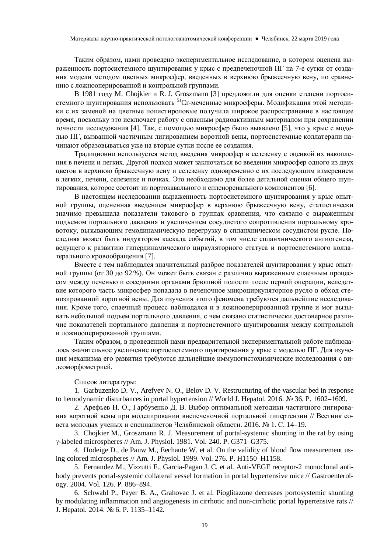Таким образом, нами проведено экспериментальное исследование, в котором оценена выраженность портосистемного шунтирования у крыс с предпеченочной ПГ на 7-е сутки от создания модели методом цветных микросфер, введенных в верхнюю брыжеечную вену, по сравнению с ложнооперированной и контрольной группами.

В 1981 году М. Chojkier и R. J. Groszmann [3] предложили для оценки степени портосистемного шунтирования использовать <sup>51</sup>Ст-меченные микросферы. Модификация этой методики с их заменой на цветные полистироловые получила широкое распространение в настоящее время, поскольку это исключает работу с опасным радиоактивным материалом при сохранении точности исследования [4]. Так, с помощью микросфер было выявлено [5], что у крыс с моделью ПГ, вызванной частичным лигированием воротной вены, портосистемные коллатерали начинают образовываться уже на вторые сутки после ее создания.

Традиционно используется метод введения микросфер в селезенку с оценкой их накопления в печени и легких. Другой подход может заключаться во введении микросфер одного из двух щветов в верхнюю брыжеечную вену и селезенку одновременно с их последующим измерением в легких, печени, селезенке и почках. Это необходимо для более детальной оценки общего шунтирования, которое состоит из портокавального и спленоренального компонентов [6].

В настоящем исследовании выраженность портосистемного шунтирования у крыс опытной группы, оцененная введением микросфер в верхнюю брыжеечную вену, статистически значимо превышала показатели такового в группах сравнения, что связано с выраженным подъемом портального давления и увеличением сосудистого сопротивления портальному кровотоку, вызывающим гемодинамическую перегрузку в спланхническом сосудистом русле. Последняя может быть индуктором каскада событий, в том числе спланхнического ангиогенеза, ведущего к развитию гипердинамического циркуляторного статуса и портосистемного коллатерального кровообращения [7].

Вместе с тем наблюдался значительный разброс показателей шунтирования у крыс опытной группы (от 30 до 92 %). Он может быть связан с различно выраженным спаечным процессом между печенью и соседними органами брюшной полости после первой операции, вследствие которого часть микросфер попадала в печеночное микроциркуляторное русло в обход стенозированной воротной вены. Для изучения этого феномена требуются дальнейшие исследования. Кроме того, спаечный процесс наблюдался и в ложнооперированной группе и мог вызывать небольшой подъем портального давления, с чем связано статистически достоверное различие показателей портального давления и портосистемного шунтирования между контрольной и ложнооперированной группами.

Таким образом, в проведенной нами предварительной экспериментальной работе наблюдалось значительное увеличение портосистемного шунтирования у крыс с моделью ПГ. Для изучения механизма его развития требуются дальнейшие иммуногистохимические исследования с видеоморфометрией.

### Список литературы:

1. Garbuzenko D. V., Arefyev N. O., Belov D. V. Restructuring of the vascular bed in response to hemodynamic disturbances in portal hypertension // World J. Hepatol. 2016.  $\mathcal{N}_2$  36. P. 1602–1609.

2. Арефьев Н. О., Гарбузенко Д. В. Выбор оптимальной методики частичного лигирования воротной вены при моделировании внепеченочной портальной гипертензии // Вестник совета молодых ученых и специалистов Челябинской области. 2016. № 1. С. 14–19.

3. Chojkier M., Groszmann R. J. Measurement of portal-systemic shunting in the rat by using Ȗ-labeled microspheres // Am. J. Physiol. 1981. Vol. 240. P. G371–G375.

4. Hodeige D., de Pauw M., Eechaute W. et al. On the validity of blood flow measurement using colored microspheres // Am. J. Physiol. 1999. Vol. 276. P. H1150–H1158.

5. Fernandez M., Vizzutti F., Garcia-Pagan J. C. et al. Anti-VEGF receptor-2 monoclonal antibody prevents portal-systemic collateral vessel formation in portal hypertensive mice // Gastroenterology. 2004. Vol. 126. P. 886–894.

6. Schwabl P., Payer B. A., Grahovac J. et al. Pioglitazone decreases portosystemic shunting by modulating inflammation and angiogenesis in cirrhotic and non-cirrhotic portal hypertensive rats // J. Hepatol. 2014. № 6. P. 1135–1142.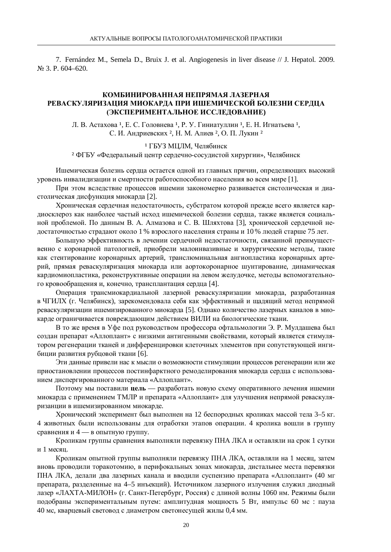7. Fernández M., Semela D., Bruix J. et al. Angiogenesis in liver disease // J. Hepatol. 2009. N<sub>o</sub> 3. P. 604–620.

### КОМБИНИРОВАННАЯ НЕПРЯМАЯ ЛАЗЕРНАЯ РЕВАСКУЛЯРИЗАЦИЯ МИОКАРДА ПРИ ИШЕМИЧЕСКОЙ БОЛЕЗНИ СЕРДЦА (ЭКСПЕРИМЕНТАЛЬНОЕ ИССЛЕДОВАНИЕ)

Л. В. Астахова<sup>1</sup>, Е. С. Головнева<sup>1</sup>, Р. У. Гиниатуллин<sup>1</sup>, Е. Н. Игнатьева<sup>1</sup>, С. И. Андриевских <sup>2</sup>. Н. М. Алиев <sup>2</sup>, О. П. Лукин<sup>2</sup>

1 ГБУЗ МЦЛМ, Челябинск

<sup>2</sup> ФГБУ «Федеральный центр сердечно-сосудистой хирургии», Челябинск

Ишемическая болезнь сердца остается одной из главных причин, определяющих высокий уровень инвалидизации и смертности работоспособного населения во всем мире [1].

При этом вследствие процессов ишемии закономерно развивается систолическая и диастолическая дисфункция миокарда [2].

Хроническая сердечная недостаточность, субстратом которой прежде всего является кардиосклероз как наиболее частый исход ишемической болезни сердца, также является социальной проблемой. По данным В. А. Алмазова и С. В. Шляхтова [3], хронической сердечной недостаточностью страдают около 1 % взрослого населения страны и 10 % людей старше 75 лет.

Большую эффективность в лечении сердечной недостаточности, связанной преимущественно с коронарной патологией, приобрели малоинвазивные и хирургические методы, такие как стентирование коронарных артерий, транслюминальная ангиопластика коронарных артерий, прямая реваскуляризация миокарда или аортокоронарное шунтирование, динамическая кардиомиопластика, реконструктивные операции на левом желудочке, методы вспомогательного кровообращения и, конечно, трансплантация сердца [4].

Операция трансмиокардиальной лазерной реваскуляризации миокарда, разработанная в ЧГИЛХ (г. Челябинск), зарекомендовала себя как эффективный и щадящий метод непрямой реваскуляризации ишемизированного миокарда [5]. Однако количество лазерных каналов в миокарде ограничивается повреждающим действием ВИЛИ на биологические ткани.

В то же время в Уфе под руководством профессора офтальмологии Э. Р. Мулдашева был создан препарат «Аллоплант» с низкими антигенными свойствами, который является стимулятором регенерации тканей и дифференцировки клеточных элементов при сопутствующей ингибиции развития рубцовой ткани [6].

Эти данные привели нас к мысли о возможности стимуляции процессов регенерации или же приостановлении процессов постинфарктного ремоделирования миокарда сердца с использованием диспергированного материала «Аллоплант».

Поэтому мы поставили цель — разработать новую схему оперативного лечения ишемии миокарда с применением ТМЛР и препарата «Аллоплант» для улучшения непрямой реваскуляризанции в ишемизированном миокарде.

Хронический эксперимент был выполнен на 12 беспородных кроликах массой тела 3–5 кг. 4 животных были использованы для отработки этапов операции. 4 кролика вошли в группу сравнения и 4 — в опытную группу.

Кроликам группы сравнения выполняли перевязку ПНА ЛКА и оставляли на срок 1 сутки и 1 месяц.

Кроликам опытной группы выполняли перевязку ПНА ЛКА, оставляли на 1 месяц, затем вновь проводили торакотомию, в перифокальных зонах миокарда, дистальнее места перевязки ПНА ЛКА, делали два лазерных канала и вводили суспензию препарата «Аллоплант» (40 мг препарата, разделенные на 4–5 инъекций). Источником лазерного излучения служил диодный лазер «ЛАХТА-МИЛОН» (г. Санкт-Петербург, Россия) с ллиной волны 1060 нм. Режимы были подобраны экспериментальным путем: амплитудная мощность 5 Вт, импульс 60 мс : пауза 40 мс, кварцевый световод с диаметром светонесущей жилы 0,4 мм.